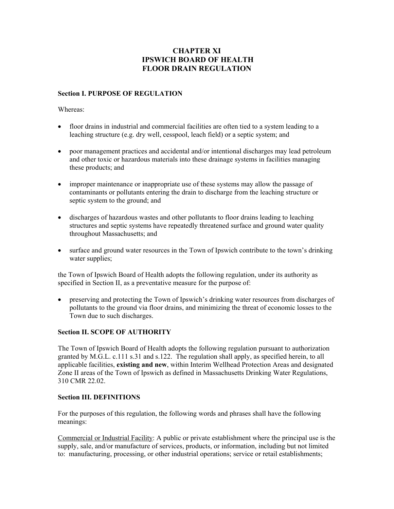# **CHAPTER XI IPSWICH BOARD OF HEALTH FLOOR DRAIN REGULATION**

### **Section I. PURPOSE OF REGULATION**

Whereas:

- floor drains in industrial and commercial facilities are often tied to a system leading to a leaching structure (e.g. dry well, cesspool, leach field) or a septic system; and
- poor management practices and accidental and/or intentional discharges may lead petroleum and other toxic or hazardous materials into these drainage systems in facilities managing these products; and
- improper maintenance or inappropriate use of these systems may allow the passage of contaminants or pollutants entering the drain to discharge from the leaching structure or septic system to the ground; and
- discharges of hazardous wastes and other pollutants to floor drains leading to leaching structures and septic systems have repeatedly threatened surface and ground water quality throughout Massachusetts; and
- surface and ground water resources in the Town of Ipswich contribute to the town's drinking water supplies;

the Town of Ipswich Board of Health adopts the following regulation, under its authority as specified in Section II, as a preventative measure for the purpose of:

• preserving and protecting the Town of Ipswich's drinking water resources from discharges of pollutants to the ground via floor drains, and minimizing the threat of economic losses to the Town due to such discharges.

#### **Section II. SCOPE OF AUTHORITY**

The Town of Ipswich Board of Health adopts the following regulation pursuant to authorization granted by M.G.L. c.111 s.31 and s.122. The regulation shall apply, as specified herein, to all applicable facilities, **existing and new**, within Interim Wellhead Protection Areas and designated Zone II areas of the Town of Ipswich as defined in Massachusetts Drinking Water Regulations, 310 CMR 22.02.

#### **Section III. DEFINITIONS**

For the purposes of this regulation, the following words and phrases shall have the following meanings:

Commercial or Industrial Facility: A public or private establishment where the principal use is the supply, sale, and/or manufacture of services, products, or information, including but not limited to: manufacturing, processing, or other industrial operations; service or retail establishments;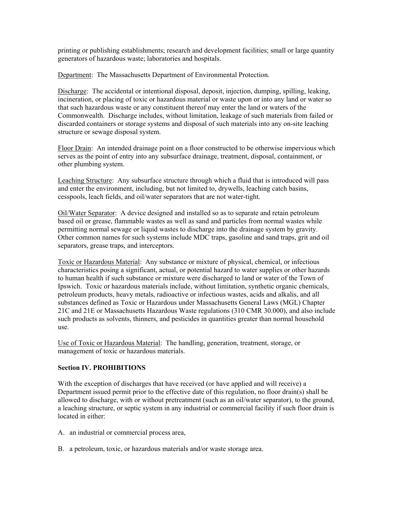printing or publishing establishments; research and development facilities; small or large quantity generators of hazardous waste; laboratories and hospitals.

Department: The Massachusetts Department of Environmental Protection.

Discharge: The accidental or intentional disposal, deposit, injection, dumping, spilling, leaking, incineration, or placing of toxic or hazardous material or waste upon or into any land or water so that such hazardous waste or any constituent thereof may enter the land or waters of the Commonwealth. Discharge includes, without limitation, leakage of such materials from failed or discarded containers or storage systems and disposal of such materials into any on-site leaching structure or sewage disposal system.

Floor Drain: An intended drainage point on a floor constructed to be otherwise impervious which serves as the point of entry into any subsurface drainage, treatment, disposal, containment, or other plumbing system.

Leaching Structure: Any subsurface structure through which a fluid that is introduced will pass and enter the environment, including, but not limited to, drywells, leaching catch basins, cesspools, leach fields, and oil/water separators that are not water-tight.

Oil/Water Separator: A device designed and installed so as to separate and retain petroleum based oil or grease, flammable wastes as well as sand and particles from normal wastes while permitting normal sewage or liquid wastes to discharge into the drainage system by gravity. Other common names for such systems include MDC traps, gasoline and sand traps, grit and oil separators, grease traps, and interceptors.

Toxic or Hazardous Material: Any substance or mixture of physical, chemical, or infectious characteristics posing a significant, actual, or potential hazard to water supplies or other hazards to human health if such substance or mixture were discharged to land or water of the Town of Ipswich. Toxic or hazardous materials include, without limitation, synthetic organic chemicals, petroleum products, heavy metals, radioactive or infectious wastes, acids and alkalis, and all substances defined as Toxic or Hazardous under Massachusetts General Laws (MGL) Chapter 21C and 21E or Massachusetts Hazardous Waste regulations (310 CMR 30.000), and also include such products as solvents, thinners, and pesticides in quantities greater than normal household use.

Use of Toxic or Hazardous Material: The handling, generation, treatment, storage, or management of toxic or hazardous materials.

#### **Section IV. PROHIBITIONS**

With the exception of discharges that have received (or have applied and will receive) a Department issued permit prior to the effective date of this regulation, no floor drain(s) shall be allowed to discharge, with or without pretreatment (such as an oil/water separator), to the ground, a leaching structure, or septic system in any industrial or commercial facility if such floor drain is located in either:

- A. an industrial or commercial process area,
- B. a petroleum, toxic, or hazardous materials and/or waste storage area.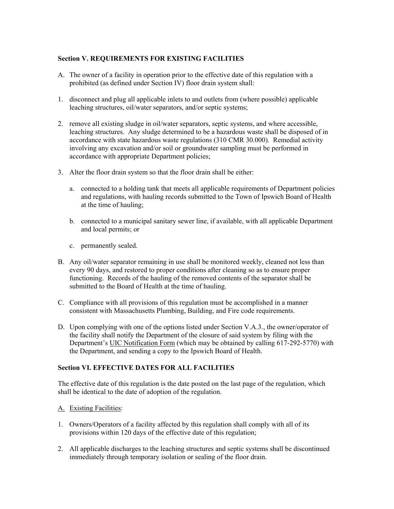## **Section V. REQUIREMENTS FOR EXISTING FACILITIES**

- A. The owner of a facility in operation prior to the effective date of this regulation with a prohibited (as defined under Section IV) floor drain system shall:
- 1. disconnect and plug all applicable inlets to and outlets from (where possible) applicable leaching structures, oil/water separators, and/or septic systems;
- 2. remove all existing sludge in oil/water separators, septic systems, and where accessible, leaching structures. Any sludge determined to be a hazardous waste shall be disposed of in accordance with state hazardous waste regulations (310 CMR 30.000). Remedial activity involving any excavation and/or soil or groundwater sampling must be performed in accordance with appropriate Department policies;
- 3. Alter the floor drain system so that the floor drain shall be either:
	- a. connected to a holding tank that meets all applicable requirements of Department policies and regulations, with hauling records submitted to the Town of Ipswich Board of Health at the time of hauling;
	- b. connected to a municipal sanitary sewer line, if available, with all applicable Department and local permits; or
	- c. permanently sealed.
- B. Any oil/water separator remaining in use shall be monitored weekly, cleaned not less than every 90 days, and restored to proper conditions after cleaning so as to ensure proper functioning. Records of the hauling of the removed contents of the separator shall be submitted to the Board of Health at the time of hauling.
- C. Compliance with all provisions of this regulation must be accomplished in a manner consistent with Massachusetts Plumbing, Building, and Fire code requirements.
- D. Upon complying with one of the options listed under Section V.A.3., the owner/operator of the facility shall notify the Department of the closure of said system by filing with the Department's UIC Notification Form (which may be obtained by calling 617-292-5770) with the Department, and sending a copy to the Ipswich Board of Health.

## **Section VI. EFFECTIVE DATES FOR ALL FACILITIES**

The effective date of this regulation is the date posted on the last page of the regulation, which shall be identical to the date of adoption of the regulation.

- A. Existing Facilities:
- 1. Owners/Operators of a facility affected by this regulation shall comply with all of its provisions within 120 days of the effective date of this regulation;
- 2. All applicable discharges to the leaching structures and septic systems shall be discontinued immediately through temporary isolation or sealing of the floor drain.